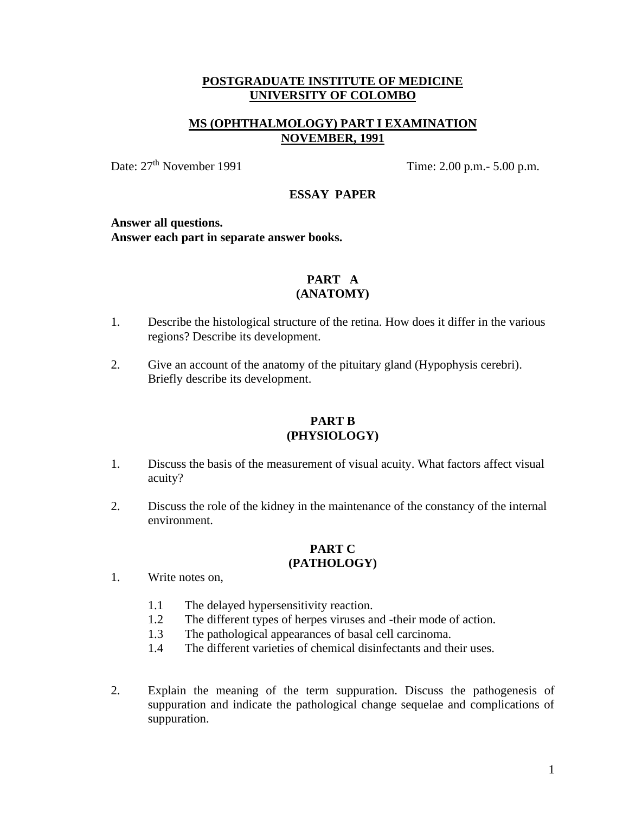## **MS (OPHTHALMOLOGY) PART I EXAMINATION NOVEMBER, 1991**

Date:  $27<sup>th</sup>$  November 1991 Time: 2.00 p.m.- 5.00 p.m.

## **ESSAY PAPER**

#### **Answer all questions.**

**Answer each part in separate answer books.**

## **PART A (ANATOMY)**

- 1. Describe the histological structure of the retina. How does it differ in the various regions? Describe its development.
- 2. Give an account of the anatomy of the pituitary gland (Hypophysis cerebri). Briefly describe its development.

## **PART B (PHYSIOLOGY)**

- 1. Discuss the basis of the measurement of visual acuity. What factors affect visual acuity?
- 2. Discuss the role of the kidney in the maintenance of the constancy of the internal environment.

## **PART C**

## **(PATHOLOGY)**

- 1. Write notes on,
	- 1.1 The delayed hypersensitivity reaction.
	- 1.2 The different types of herpes viruses and -their mode of action.
	- 1.3 The pathological appearances of basal cell carcinoma.
	- 1.4 The different varieties of chemical disinfectants and their uses.
- 2. Explain the meaning of the term suppuration. Discuss the pathogenesis of suppuration and indicate the pathological change sequelae and complications of suppuration.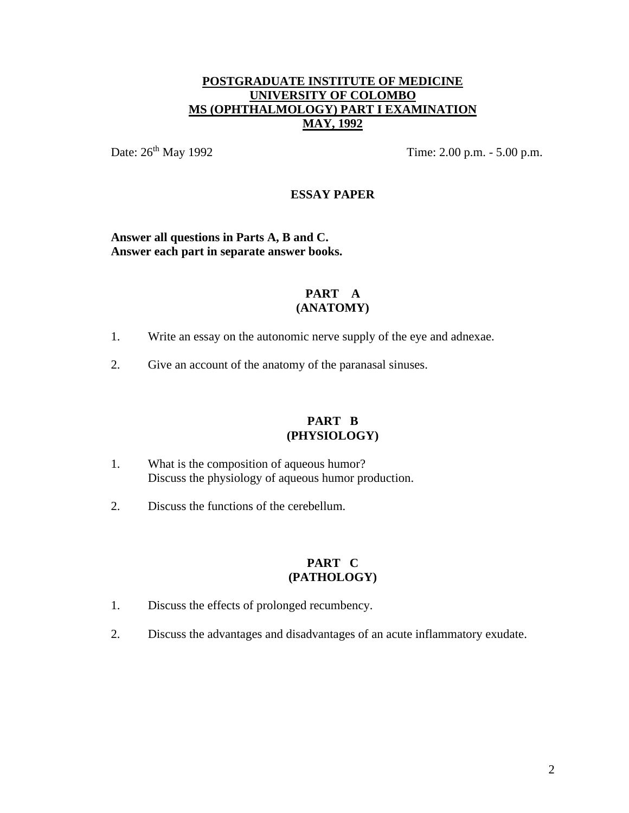## **POSTGRADUATE INSTITUTE OF MEDICINE UNIVERSITY OF COLOMBO MS (OPHTHALMOLOGY) PART I EXAMINATION MAY, 1992**

Date:  $26^{\text{th}}$  May 1992 Time: 2.00 p.m. - 5.00 p.m.

## **ESSAY PAPER**

**Answer all questions in Parts A, B and C. Answer each part in separate answer books.**

## **PART A (ANATOMY)**

- 1. Write an essay on the autonomic nerve supply of the eye and adnexae.
- 2. Give an account of the anatomy of the paranasal sinuses.

#### **PART B (PHYSIOLOGY)**

- 1. What is the composition of aqueous humor? Discuss the physiology of aqueous humor production.
- 2. Discuss the functions of the cerebellum.

- 1. Discuss the effects of prolonged recumbency.
- 2. Discuss the advantages and disadvantages of an acute inflammatory exudate.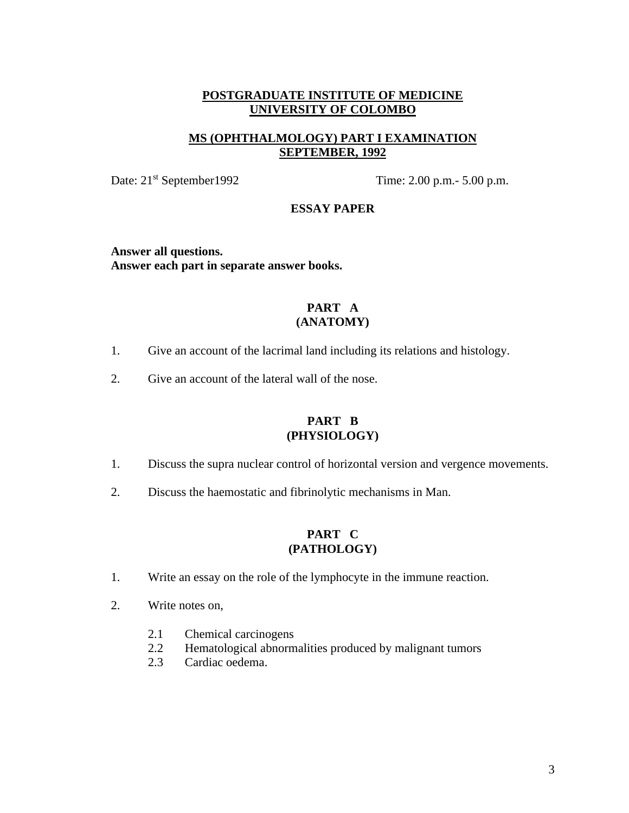## **MS (OPHTHALMOLOGY) PART I EXAMINATION SEPTEMBER, 1992**

Date: 21<sup>st</sup> September1992 Time: 2.00 p.m. - 5.00 p.m.

#### **ESSAY PAPER**

**Answer all questions. Answer each part in separate answer books.**

## **PART A (ANATOMY)**

- 1. Give an account of the lacrimal land including its relations and histology.
- 2. Give an account of the lateral wall of the nose.

## **PART B (PHYSIOLOGY)**

- 1. Discuss the supra nuclear control of horizontal version and vergence movements.
- 2. Discuss the haemostatic and fibrinolytic mechanisms in Man.

- 1. Write an essay on the role of the lymphocyte in the immune reaction.
- 2. Write notes on,
	- 2.1 Chemical carcinogens
	- 2.2 Hematological abnormalities produced by malignant tumors
	- 2.3 Cardiac oedema.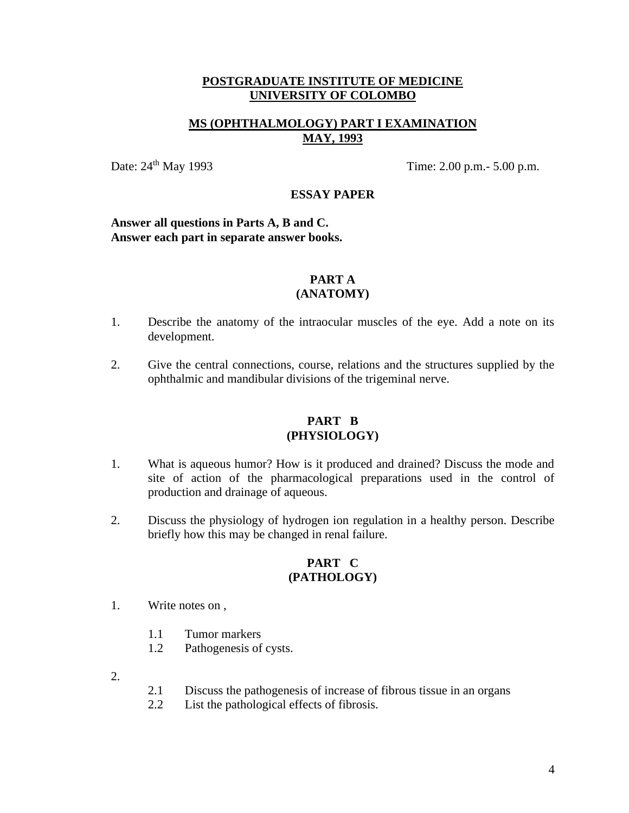## **MS (OPHTHALMOLOGY) PART I EXAMINATION MAY, 1993**

Date:  $24<sup>th</sup>$  May 1993 Time: 2.00 p.m.- 5.00 p.m.

## **ESSAY PAPER**

**Answer all questions in Parts A, B and C. Answer each part in separate answer books.**

#### **PART A (ANATOMY)**

- 1. Describe the anatomy of the intraocular muscles of the eye. Add a note on its development.
	- 2. Give the central connections, course, relations and the structures supplied by the ophthalmic and mandibular divisions of the trigeminal nerve.

## **PART B (PHYSIOLOGY)**

- 1. What is aqueous humor? How is it produced and drained? Discuss the mode and site of action of the pharmacological preparations used in the control of production and drainage of aqueous.
- 2. Discuss the physiology of hydrogen ion regulation in a healthy person. Describe briefly how this may be changed in renal failure.

- 1. Write notes on ,
	- 1.1 Tumor markers
	- 1.2 Pathogenesis of cysts.
- 2.
- 2.1 Discuss the pathogenesis of increase of fibrous tissue in an organs
- 2.2 List the pathological effects of fibrosis.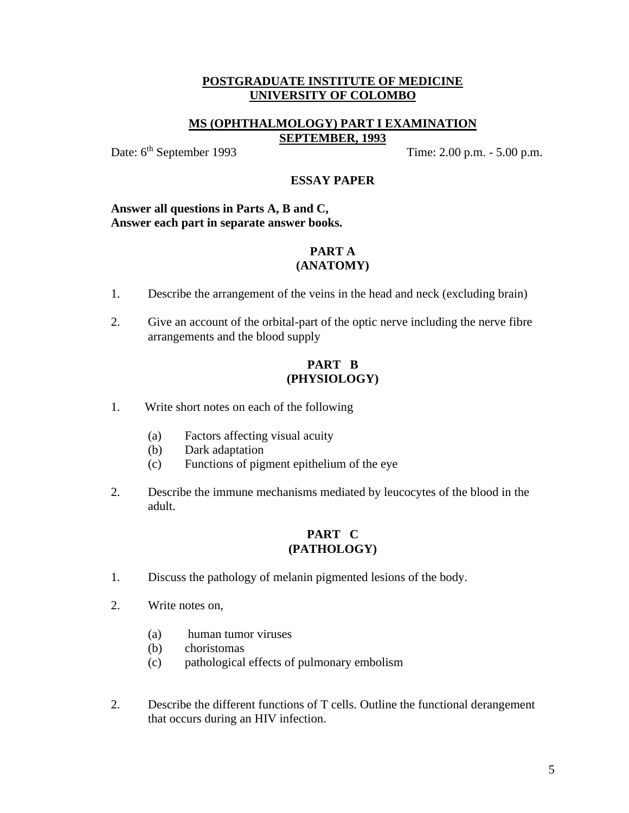## **MS (OPHTHALMOLOGY) PART I EXAMINATION SEPTEMBER, 1993**

Date: 6<sup>th</sup> September 1993 Time: 2.00 p.m. - 5.00 p.m.

#### **ESSAY PAPER**

#### **Answer all questions in Parts A, B and C, Answer each part in separate answer books.**

#### **PART A (ANATOMY)**

- 1. Describe the arrangement of the veins in the head and neck (excluding brain)
- 2. Give an account of the orbital-part of the optic nerve including the nerve fibre arrangements and the blood supply

## **PART B (PHYSIOLOGY)**

- 1. Write short notes on each of the following
	- (a) Factors affecting visual acuity
	- (b) Dark adaptation
	- (c) Functions of pigment epithelium of the eye
- 2. Describe the immune mechanisms mediated by leucocytes of the blood in the adult.

- 1. Discuss the pathology of melanin pigmented lesions of the body.
- 2. Write notes on,
	- (a) human tumor viruses
	- (b) choristomas
	- (c) pathological effects of pulmonary embolism
- 2. Describe the different functions of T cells. Outline the functional derangement that occurs during an HIV infection.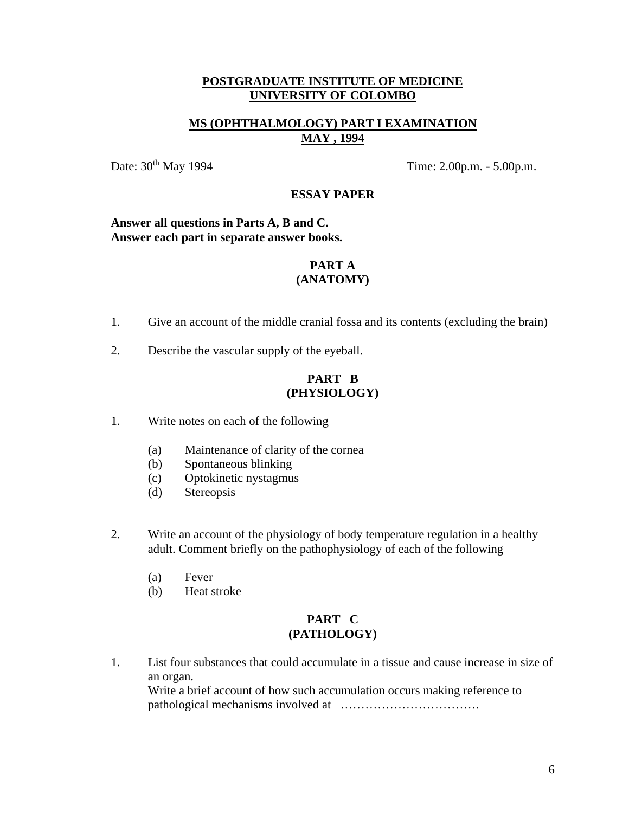## **MS (OPHTHALMOLOGY) PART I EXAMINATION MAY , 1994**

Date:  $30<sup>th</sup>$  May 1994 Time: 2.00p.m. - 5.00p.m.

## **ESSAY PAPER**

#### **Answer all questions in Parts A, B and C. Answer each part in separate answer books.**

#### **PART A (ANATOMY)**

- 1. Give an account of the middle cranial fossa and its contents (excluding the brain)
- 2. Describe the vascular supply of the eyeball.

## **PART B (PHYSIOLOGY)**

- 1. Write notes on each of the following
	- (a) Maintenance of clarity of the cornea
	- (b) Spontaneous blinking
	- (c) Optokinetic nystagmus
	- (d) Stereopsis
- 2. Write an account of the physiology of body temperature regulation in a healthy adult. Comment briefly on the pathophysiology of each of the following
	- (a) Fever
	- (b) Heat stroke

## **PART C (PATHOLOGY)**

1. List four substances that could accumulate in a tissue and cause increase in size of an organ.

Write a brief account of how such accumulation occurs making reference to pathological mechanisms involved at …………………………….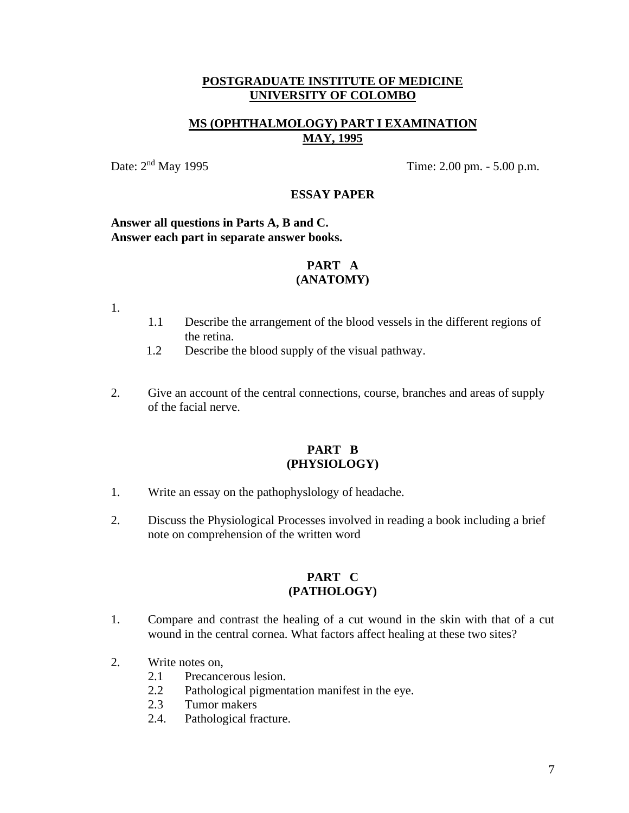## **MS (OPHTHALMOLOGY) PART I EXAMINATION MAY, 1995**

Date:  $2<sup>nd</sup>$  May 1995 Time: 2.00 pm. - 5.00 p.m.

## **ESSAY PAPER**

#### **Answer all questions in Parts A, B and C. Answer each part in separate answer books.**

#### **PART A (ANATOMY)**

1.

- 1.1 Describe the arrangement of the blood vessels in the different regions of the retina.
- 1.2 Describe the blood supply of the visual pathway.
- 2. Give an account of the central connections, course, branches and areas of supply of the facial nerve.

## **PART B (PHYSIOLOGY)**

- 1. Write an essay on the pathophyslology of headache.
- 2. Discuss the Physiological Processes involved in reading a book including a brief note on comprehension of the written word

- 1. Compare and contrast the healing of a cut wound in the skin with that of a cut wound in the central cornea. What factors affect healing at these two sites?
- 2. Write notes on,
	- 2.1 Precancerous lesion.
	- 2.2 Pathological pigmentation manifest in the eye.
	- 2.3 Tumor makers
	- 2.4. Pathological fracture.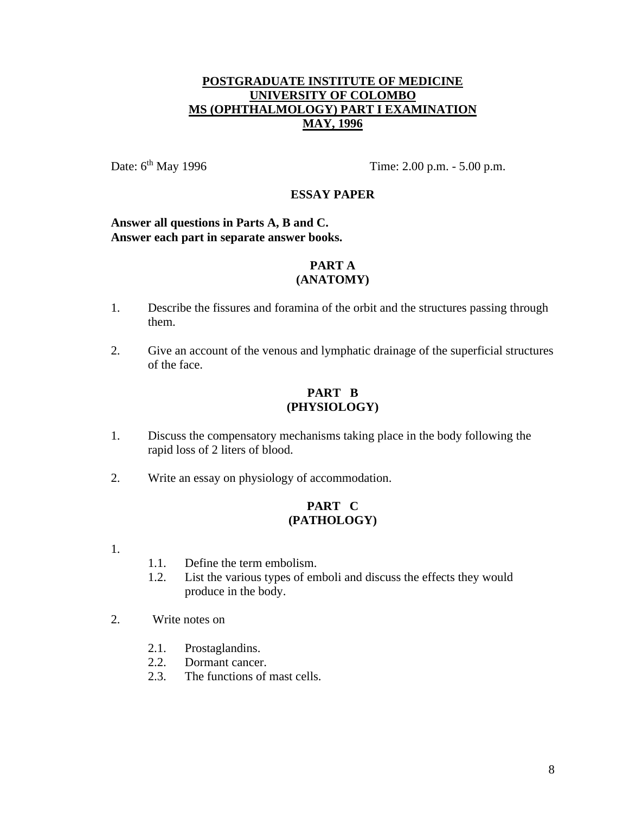## **POSTGRADUATE INSTITUTE OF MEDICINE UNIVERSITY OF COLOMBO MS (OPHTHALMOLOGY) PART I EXAMINATION MAY, 1996**

Date:  $6^{th}$  May 1996 Time: 2.00 p.m. - 5.00 p.m.

## **ESSAY PAPER**

#### **Answer all questions in Parts A, B and C. Answer each part in separate answer books.**

#### **PART A (ANATOMY)**

- 1. Describe the fissures and foramina of the orbit and the structures passing through them.
- 2. Give an account of the venous and lymphatic drainage of the superficial structures of the face.

## **PART B (PHYSIOLOGY)**

- 1. Discuss the compensatory mechanisms taking place in the body following the rapid loss of 2 liters of blood.
- 2. Write an essay on physiology of accommodation.

- 1.
- 1.1. Define the term embolism.
- 1.2. List the various types of emboli and discuss the effects they would produce in the body.
- 2. Write notes on
	- 2.1. Prostaglandins.
	- 2.2. Dormant cancer.
	- 2.3. The functions of mast cells.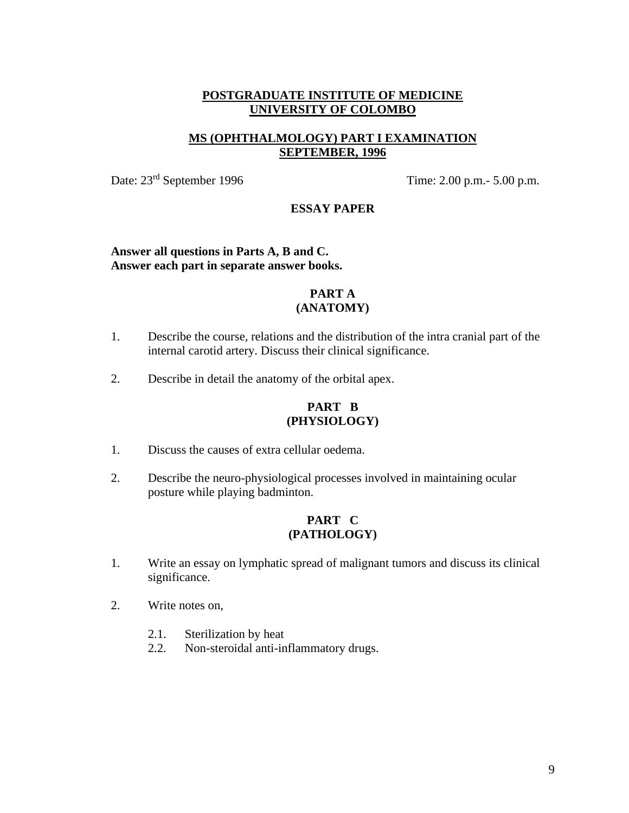## **MS (OPHTHALMOLOGY) PART I EXAMINATION SEPTEMBER, 1996**

Date:  $23<sup>rd</sup>$  September 1996 Time: 2.00 p.m.- 5.00 p.m.

#### **ESSAY PAPER**

#### **Answer all questions in Parts A, B and C. Answer each part in separate answer books.**

## **PART A (ANATOMY)**

- 1. Describe the course, relations and the distribution of the intra cranial part of the internal carotid artery. Discuss their clinical significance.
- 2. Describe in detail the anatomy of the orbital apex.

## **PART B (PHYSIOLOGY)**

- 1. Discuss the causes of extra cellular oedema.
- 2. Describe the neuro-physiological processes involved in maintaining ocular posture while playing badminton.

- 1. Write an essay on lymphatic spread of malignant tumors and discuss its clinical significance.
- 2. Write notes on,
	- 2.1. Sterilization by heat
	- 2.2. Non-steroidal anti-inflammatory drugs.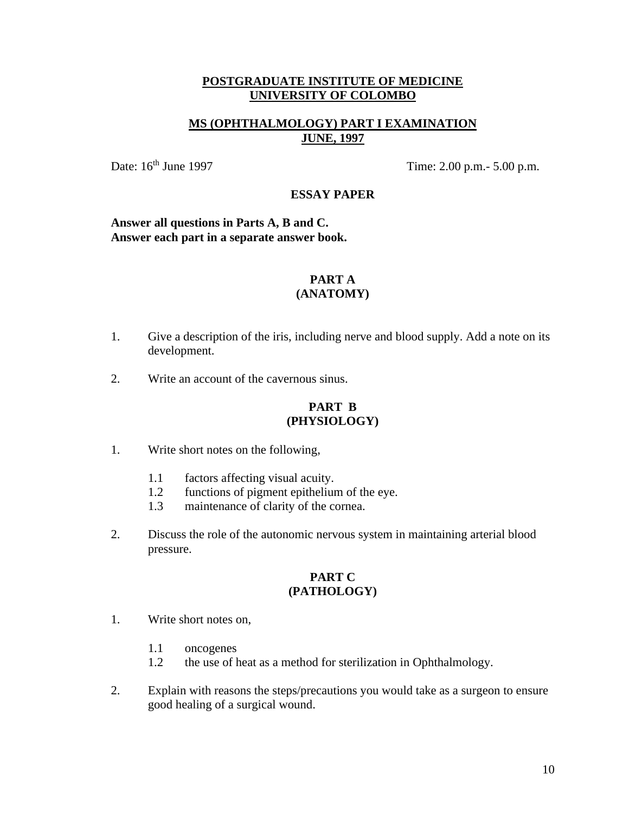## **MS (OPHTHALMOLOGY) PART I EXAMINATION JUNE, 1997**

Date: 16<sup>th</sup> June 1997 Time: 2.00 p.m.- 5.00 p.m.

## **ESSAY PAPER**

#### **Answer all questions in Parts A, B and C. Answer each part in a separate answer book.**

#### **PART A (ANATOMY)**

- 1. Give a description of the iris, including nerve and blood supply. Add a note on its development.
- 2. Write an account of the cavernous sinus.

## **PART B (PHYSIOLOGY)**

- 1. Write short notes on the following,
	- 1.1 factors affecting visual acuity.
	- 1.2 functions of pigment epithelium of the eye.
	- 1.3 maintenance of clarity of the cornea.
- 2. Discuss the role of the autonomic nervous system in maintaining arterial blood pressure.

- 1. Write short notes on,
	- 1.1 oncogenes
	- 1.2 the use of heat as a method for sterilization in Ophthalmology.
- 2. Explain with reasons the steps/precautions you would take as a surgeon to ensure good healing of a surgical wound.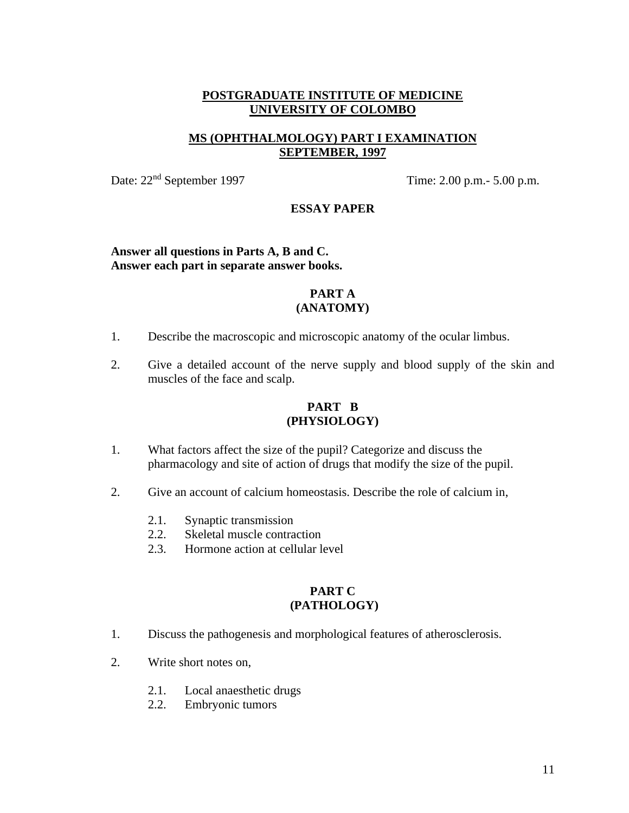## **MS (OPHTHALMOLOGY) PART I EXAMINATION SEPTEMBER, 1997**

Date:  $22<sup>nd</sup>$  September 1997 Time:  $2.00$  p.m.-  $5.00$  p.m.

#### **ESSAY PAPER**

#### **Answer all questions in Parts A, B and C. Answer each part in separate answer books.**

## **PART A (ANATOMY)**

- 1. Describe the macroscopic and microscopic anatomy of the ocular limbus.
- 2. Give a detailed account of the nerve supply and blood supply of the skin and muscles of the face and scalp.

## **PART B (PHYSIOLOGY)**

- 1. What factors affect the size of the pupil? Categorize and discuss the pharmacology and site of action of drugs that modify the size of the pupil.
- 2. Give an account of calcium homeostasis. Describe the role of calcium in,
	- 2.1. Synaptic transmission
	- 2.2. Skeletal muscle contraction
	- 2.3. Hormone action at cellular level

- 1. Discuss the pathogenesis and morphological features of atherosclerosis.
- 2. Write short notes on,
	- 2.1. Local anaesthetic drugs
	- 2.2. Embryonic tumors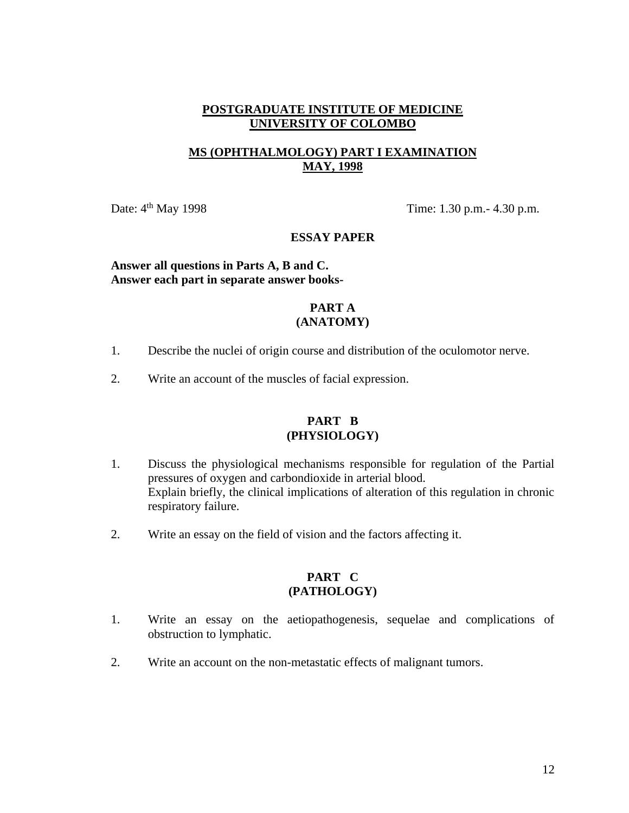## **MS (OPHTHALMOLOGY) PART I EXAMINATION MAY, 1998**

Date:  $4<sup>th</sup>$  May 1998 Time: 1.30 p.m. - 4.30 p.m.

#### **ESSAY PAPER**

## **Answer all questions in Parts A, B and C. Answer each part in separate answer books-**

## **PART A (ANATOMY)**

- 1. Describe the nuclei of origin course and distribution of the oculomotor nerve.
- 2. Write an account of the muscles of facial expression.

#### **PART B (PHYSIOLOGY)**

- 1. Discuss the physiological mechanisms responsible for regulation of the Partial pressures of oxygen and carbondioxide in arterial blood. Explain briefly, the clinical implications of alteration of this regulation in chronic respiratory failure.
- 2. Write an essay on the field of vision and the factors affecting it.

- 1. Write an essay on the aetiopathogenesis, sequelae and complications of obstruction to lymphatic.
- 2. Write an account on the non-metastatic effects of malignant tumors.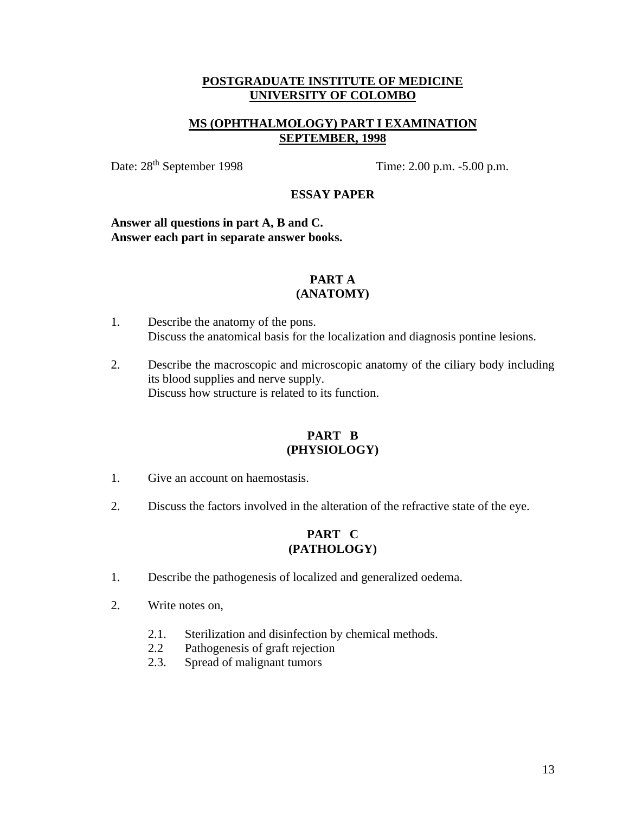## **MS (OPHTHALMOLOGY) PART I EXAMINATION SEPTEMBER, 1998**

Date:  $28<sup>th</sup> September 1998$  Time: 2.00 p.m. -5.00 p.m.

## **ESSAY PAPER**

**Answer all questions in part A, B and C. Answer each part in separate answer books.**

#### **PART A (ANATOMY)**

# 1. Describe the anatomy of the pons.

- Discuss the anatomical basis for the localization and diagnosis pontine lesions.
- 2. Describe the macroscopic and microscopic anatomy of the ciliary body including its blood supplies and nerve supply. Discuss how structure is related to its function.

## **PART B (PHYSIOLOGY)**

- 1. Give an account on haemostasis.
- 2. Discuss the factors involved in the alteration of the refractive state of the eye.

- 1. Describe the pathogenesis of localized and generalized oedema.
- 2. Write notes on,
	- 2.1. Sterilization and disinfection by chemical methods.
	- 2.2 Pathogenesis of graft rejection
	- 2.3. Spread of malignant tumors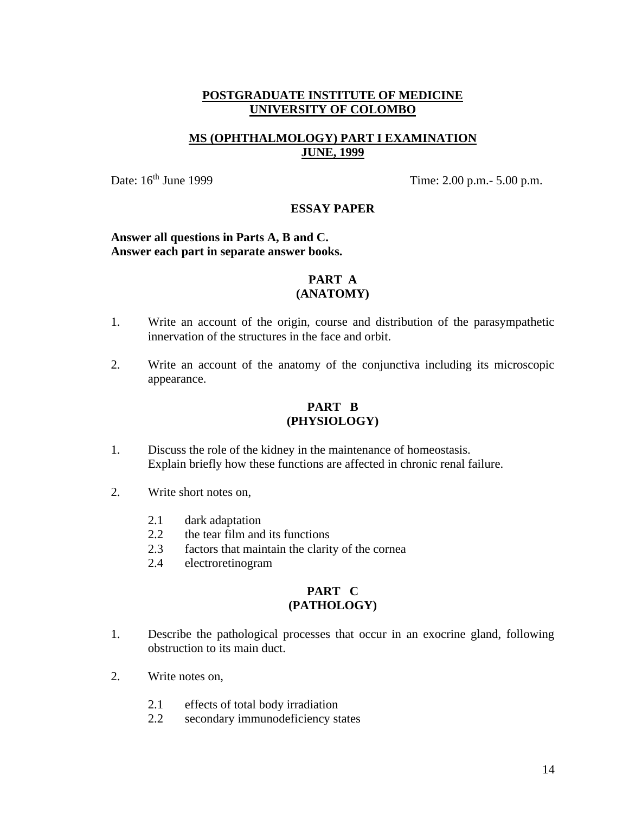## **MS (OPHTHALMOLOGY) PART I EXAMINATION JUNE, 1999**

Date: 16<sup>th</sup> June 1999 Time: 2.00 p.m.- 5.00 p.m.

#### **ESSAY PAPER**

## **Answer all questions in Parts A, B and C. Answer each part in separate answer books.**

## **PART A (ANATOMY)**

- 1. Write an account of the origin, course and distribution of the parasympathetic innervation of the structures in the face and orbit.
- 2. Write an account of the anatomy of the conjunctiva including its microscopic appearance.

## **PART B (PHYSIOLOGY)**

- 1. Discuss the role of the kidney in the maintenance of homeostasis. Explain briefly how these functions are affected in chronic renal failure.
- 2. Write short notes on,
	- 2.1 dark adaptation
	- 2.2 the tear film and its functions
	- 2.3 factors that maintain the clarity of the cornea
	- 2.4 electroretinogram

- 1. Describe the pathological processes that occur in an exocrine gland, following obstruction to its main duct.
- 2. Write notes on,
	- 2.1 effects of total body irradiation
	- 2.2 secondary immunodeficiency states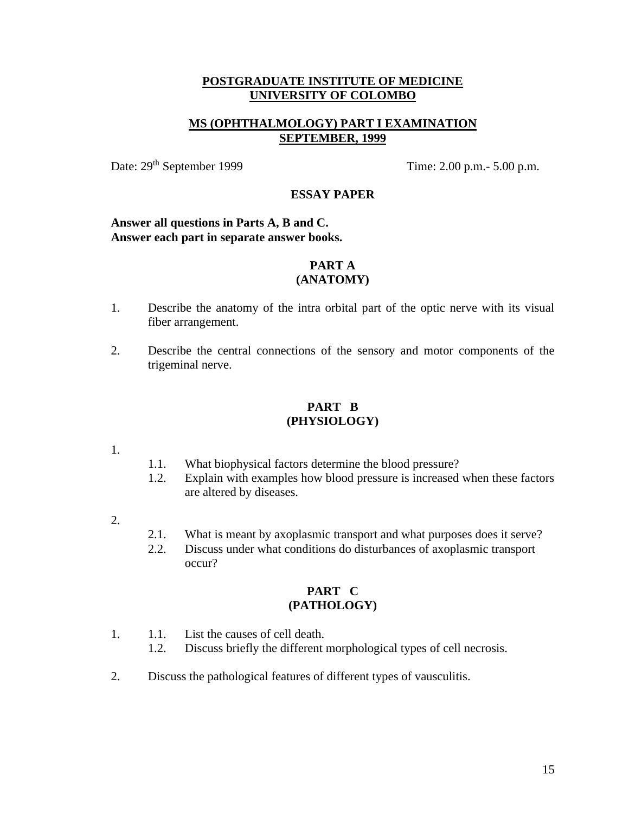## **MS (OPHTHALMOLOGY) PART I EXAMINATION SEPTEMBER, 1999**

Date: 29<sup>th</sup> September 1999 Time: 2.00 p.m.- 5.00 p.m.

## **ESSAY PAPER**

#### **Answer all questions in Parts A, B and C. Answer each part in separate answer books.**

#### **PART A (ANATOMY)**

- 1. Describe the anatomy of the intra orbital part of the optic nerve with its visual fiber arrangement.
- 2. Describe the central connections of the sensory and motor components of the trigeminal nerve.

## **PART B (PHYSIOLOGY)**

- 1.
- 1.1. What biophysical factors determine the blood pressure?
- 1.2. Explain with examples how blood pressure is increased when these factors are altered by diseases.
- 2.
- 2.1. What is meant by axoplasmic transport and what purposes does it serve?
- 2.2. Discuss under what conditions do disturbances of axoplasmic transport occur?

- 1. 1.1. List the causes of cell death.
	- 1.2. Discuss briefly the different morphological types of cell necrosis.
- 2. Discuss the pathological features of different types of vausculitis.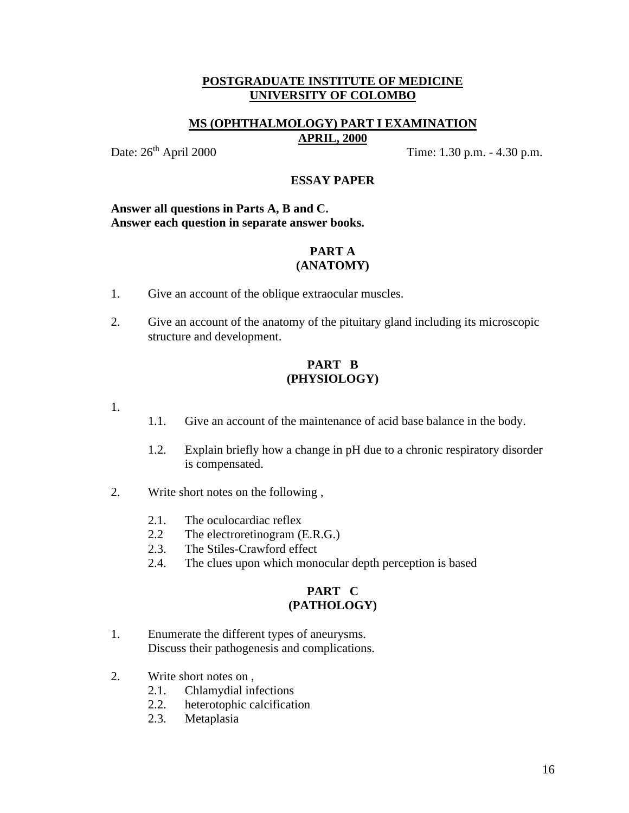#### **MS (OPHTHALMOLOGY) PART I EXAMINATION APRIL, 2000**

Date: 26<sup>th</sup> April 2000 Time: 1.30 p.m. - 4.30 p.m.

#### **ESSAY PAPER**

#### **Answer all questions in Parts A, B and C. Answer each question in separate answer books.**

#### **PART A (ANATOMY)**

- 1. Give an account of the oblique extraocular muscles.
- 2. Give an account of the anatomy of the pituitary gland including its microscopic structure and development.

## **PART B (PHYSIOLOGY)**

- 1.
- 1.1. Give an account of the maintenance of acid base balance in the body.
- 1.2. Explain briefly how a change in pH due to a chronic respiratory disorder is compensated.
- 2. Write short notes on the following ,
	- 2.1. The oculocardiac reflex
	- 2.2 The electroretinogram (E.R.G.)
	- 2.3. The Stiles-Crawford effect
	- 2.4. The clues upon which monocular depth perception is based

- 1. Enumerate the different types of aneurysms. Discuss their pathogenesis and complications.
- 2. Write short notes on ,
	- 2.1. Chlamydial infections
	- 2.2. heterotophic calcification
	- 2.3. Metaplasia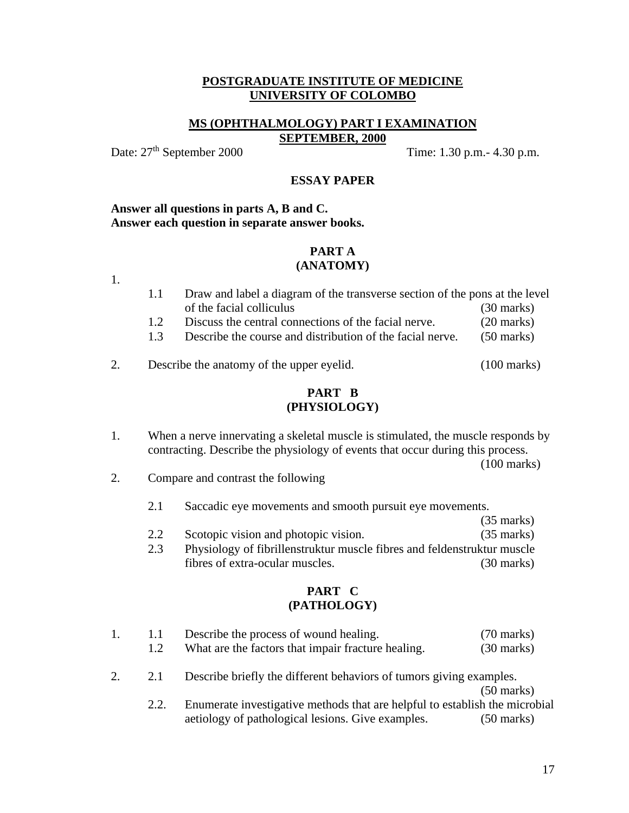#### **MS (OPHTHALMOLOGY) PART I EXAMINATION SEPTEMBER, 2000**

1.

Date:  $27<sup>th</sup>$  September 2000 Time: 1.30 p.m. - 4.30 p.m.

#### **ESSAY PAPER**

#### **Answer all questions in parts A, B and C. Answer each question in separate answer books.**

#### **PART A (ANATOMY)**

- 1.1 Draw and label a diagram of the transverse section of the pons at the level of the facial colliculus (30 marks) 1.2 Discuss the central connections of the facial nerve. (20 marks) 1.3 Describe the course and distribution of the facial nerve. (50 marks)
- 2. Describe the anatomy of the upper eyelid. (100 marks)

## **PART B (PHYSIOLOGY)**

1. When a nerve innervating a skeletal muscle is stimulated, the muscle responds by contracting. Describe the physiology of events that occur during this process.

(100 marks)

- 2. Compare and contrast the following
	- 2.1 Saccadic eye movements and smooth pursuit eye movements.
	- (35 marks) 2.2 Scotopic vision and photopic vision. (35 marks)
	- 2.3 Physiology of fibrillenstruktur muscle fibres and feldenstruktur muscle fibres of extra-ocular muscles. (30 marks)

|                                                                            | -1.1 | Describe the process of wound healing.                                      | $(70 \text{ marks})$ |
|----------------------------------------------------------------------------|------|-----------------------------------------------------------------------------|----------------------|
|                                                                            | 1.2  | What are the factors that impair fracture healing.                          | $(30 \text{ marks})$ |
| Describe briefly the different behaviors of tumors giving examples.<br>2.1 |      |                                                                             |                      |
|                                                                            |      |                                                                             | $(50 \text{ marks})$ |
|                                                                            | 2.2. | Enumerate investigative methods that are helpful to establish the microbial |                      |
|                                                                            |      | aetiology of pathological lesions. Give examples.                           | $(50 \text{ marks})$ |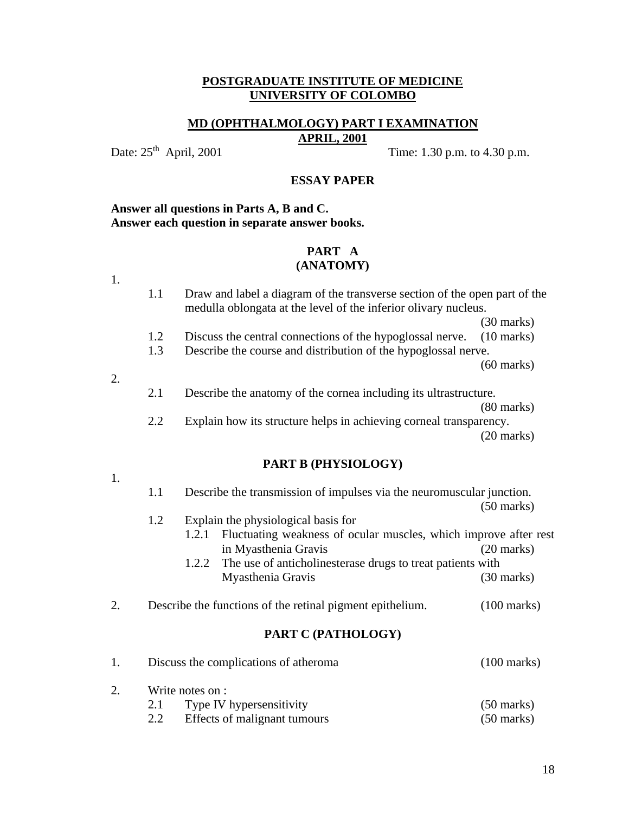#### **MD (OPHTHALMOLOGY) PART I EXAMINATION APRIL, 2001**

Date: 25<sup>th</sup> April, 2001 Time: 1.30 p.m. to 4.30 p.m.

#### **ESSAY PAPER**

#### **Answer all questions in Parts A, B and C. Answer each question in separate answer books.**

#### **PART A (ANATOMY)**

1.

1.1 Draw and label a diagram of the transverse section of the open part of the medulla oblongata at the level of the inferior olivary nucleus.

(30 marks)

- 1.2 Discuss the central connections of the hypoglossal nerve. (10 marks)
- 1.3 Describe the course and distribution of the hypoglossal nerve.

(60 marks)

- 2.
- 2.1 Describe the anatomy of the cornea including its ultrastructure.

(80 marks)

2.2 Explain how its structure helps in achieving corneal transparency. (20 marks)

#### **PART B (PHYSIOLOGY)**

| $\sim$ |
|--------|

- 1.1 Describe the transmission of impulses via the neuromuscular junction. (50 marks) 1.2 Explain the physiological basis for 1.2.1 Fluctuating weakness of ocular muscles, which improve after rest in Myasthenia Gravis (20 marks) 1.2.2 The use of anticholinesterase drugs to treat patients with Myasthenia Gravis (30 marks)
- 2. Describe the functions of the retinal pigment epithelium. (100 marks)

| $(100 \text{ marks})$<br>Discuss the complications of atheroma |                              |                      |
|----------------------------------------------------------------|------------------------------|----------------------|
| Write notes on :                                               |                              |                      |
| 2.1                                                            | Type IV hypersensitivity     | $(50 \text{ marks})$ |
| 2.2                                                            | Effects of malignant tumours | $(50 \text{ marks})$ |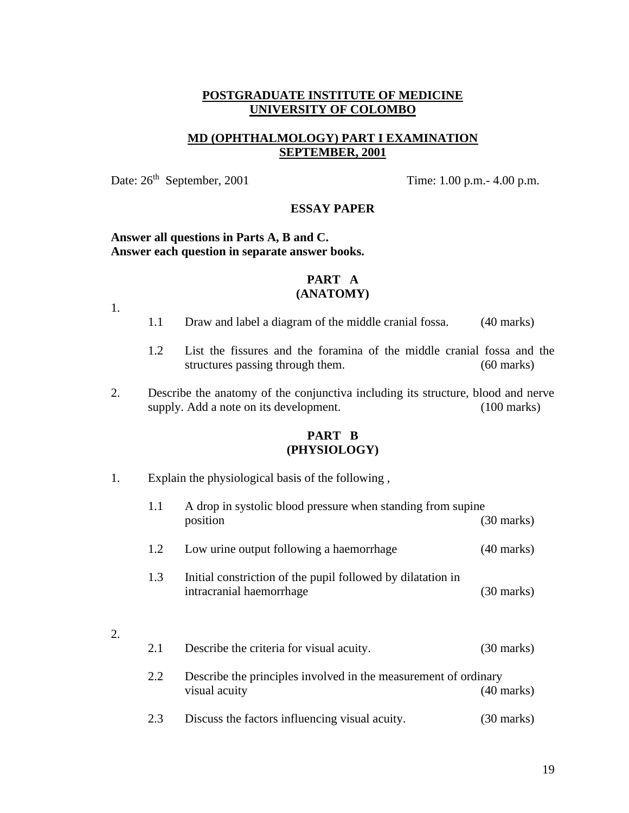## **MD (OPHTHALMOLOGY) PART I EXAMINATION SEPTEMBER, 2001**

Date:  $26<sup>th</sup>$  September, 2001 Time: 1.00 p.m. - 4.00 p.m.

#### **ESSAY PAPER**

## **Answer all questions in Parts A, B and C. Answer each question in separate answer books.**

#### **PART A (ANATOMY)**

1.

2.

- 1.1 Draw and label a diagram of the middle cranial fossa. (40 marks)
- 1.2 List the fissures and the foramina of the middle cranial fossa and the structures passing through them. (60 marks)
- 2. Describe the anatomy of the conjunctiva including its structure, blood and nerve supply. Add a note on its development. (100 marks)

#### **PART B (PHYSIOLOGY)**

1. Explain the physiological basis of the following ,

|    | 1.1 | A drop in systolic blood pressure when standing from supine<br>position                 | $(30 \text{ marks})$ |
|----|-----|-----------------------------------------------------------------------------------------|----------------------|
|    | 1.2 | Low urine output following a haemorrhage                                                | $(40 \text{ marks})$ |
|    | 1.3 | Initial constriction of the pupil followed by dilatation in<br>intracranial haemorrhage | (30 marks)           |
| 2. |     |                                                                                         |                      |
|    | 2.1 | Describe the criteria for visual acuity.                                                | $(30 \text{ marks})$ |
|    | 2.2 | Describe the principles involved in the measurement of ordinary<br>visual acuity        | (40 marks)           |

2.3 Discuss the factors influencing visual acuity. (30 marks)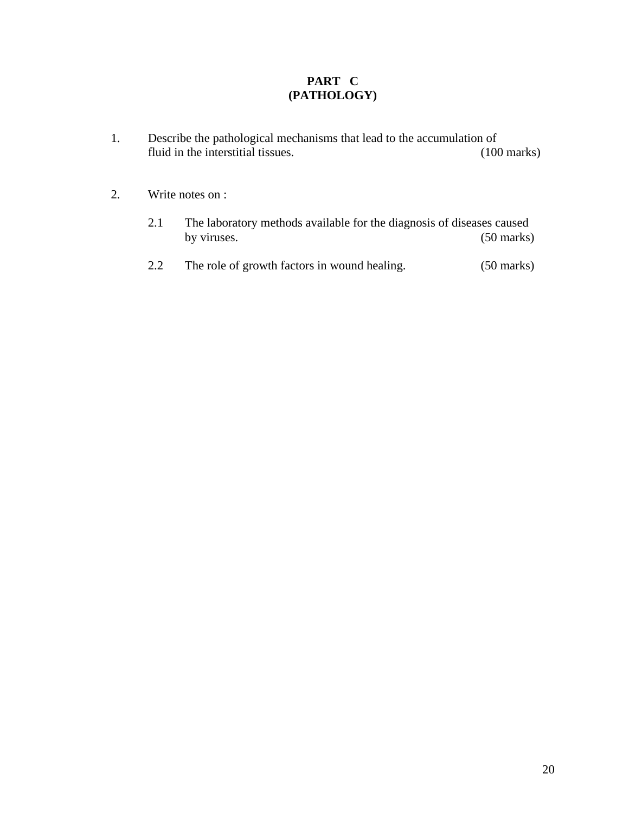- 1. Describe the pathological mechanisms that lead to the accumulation of fluid in the interstitial tissues. (100 marks)
- 2. Write notes on :
	- 2.1 The laboratory methods available for the diagnosis of diseases caused<br>by viruses. (50 marks)  $(50$  marks)
	- 2.2 The role of growth factors in wound healing. (50 marks)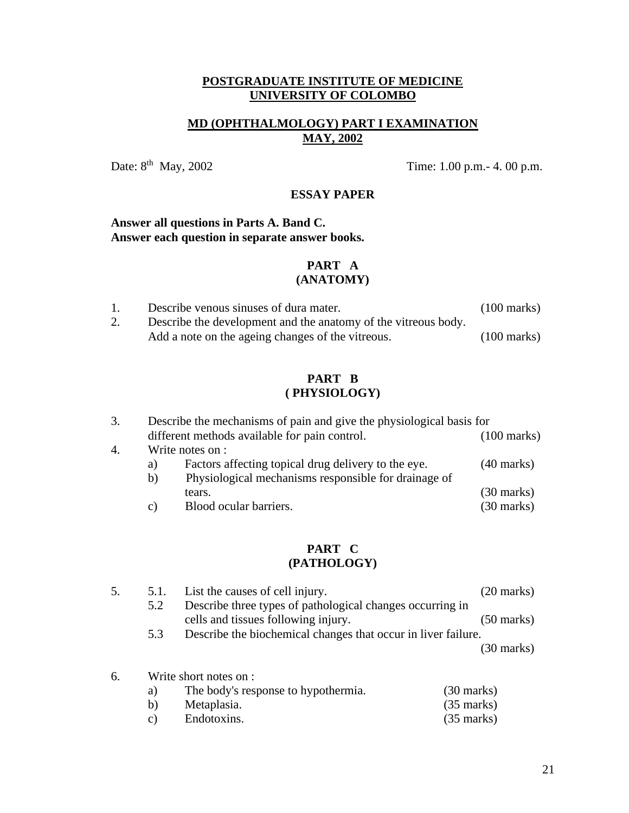## **MD (OPHTHALMOLOGY) PART I EXAMINATION MAY, 2002**

Date: 8<sup>th</sup> May, 2002 Time: 1.00 p.m. - 4. 00 p.m.

## **ESSAY PAPER**

#### **Answer all questions in Parts A. Band C. Answer each question in separate answer books.**

## **PART A (ANATOMY)**

|    | Describe venous sinuses of dura mater.                         | $(100 \text{ marks})$ |
|----|----------------------------------------------------------------|-----------------------|
| 2. | Describe the development and the anatomy of the vitreous body. |                       |
|    | Add a note on the ageing changes of the vitreous.              | $(100 \text{ marks})$ |

## **PART B ( PHYSIOLOGY)**

|    |    | Describe the mechanisms of pain and give the physiological basis for |                      |  |
|----|----|----------------------------------------------------------------------|----------------------|--|
|    |    | different methods available for pain control.                        |                      |  |
| 4. |    | Write notes on :                                                     |                      |  |
|    | a) | Factors affecting topical drug delivery to the eye.                  | $(40 \text{ marks})$ |  |
|    | b) | Physiological mechanisms responsible for drainage of                 |                      |  |
|    |    | tears.                                                               | $(30 \text{ marks})$ |  |
|    | C) | Blood ocular barriers.                                               | $(30 \text{ marks})$ |  |
|    |    |                                                                      |                      |  |

| 5. | 5.1.                   | List the causes of cell injury.                                                                  | $(20 \text{ marks})$ |
|----|------------------------|--------------------------------------------------------------------------------------------------|----------------------|
|    | 5.2                    | Describe three types of pathological changes occurring in<br>cells and tissues following injury. | $(50 \text{ marks})$ |
|    | 5.3                    | Describe the biochemical changes that occur in liver failure.                                    |                      |
|    |                        |                                                                                                  | $(30 \text{ marks})$ |
| 6. | Write short notes on : |                                                                                                  |                      |
|    | $\Omega$               | The hody's response to hypothermia<br>$(30 \text{ more})$                                        |                      |

| a)           | The body's response to hypothermia. | $(30 \text{ marks})$ |
|--------------|-------------------------------------|----------------------|
| $\mathbf{b}$ | Metaplasia.                         | $(35 \text{ marks})$ |
| C)           | Endotoxins.                         | $(35 \text{ marks})$ |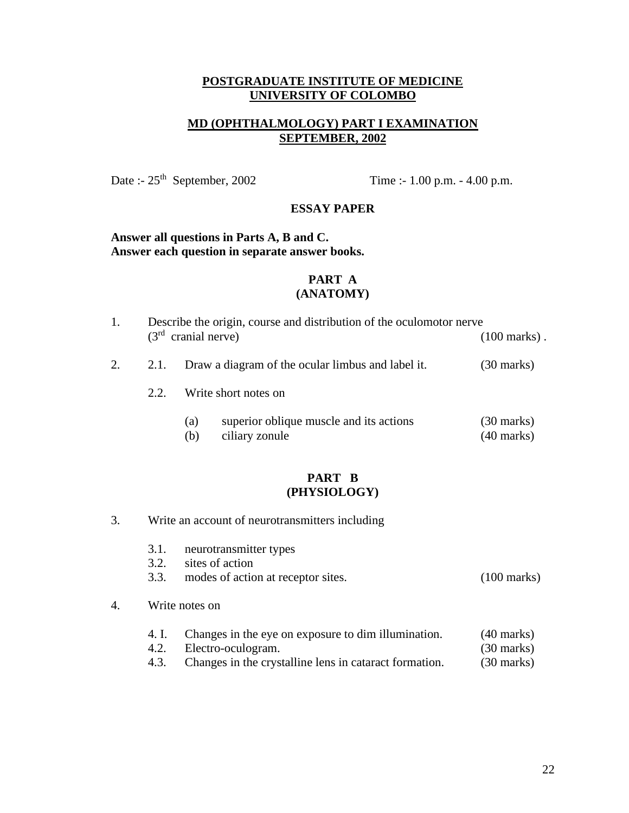## **MD (OPHTHALMOLOGY) PART I EXAMINATION SEPTEMBER, 2002**

Date :- 25<sup>th</sup> September, 2002 Time :- 1.00 p.m. - 4.00 p.m.

#### **ESSAY PAPER**

## **Answer all questions in Parts A, B and C. Answer each question in separate answer books.**

#### **PART A (ANATOMY)**

| 1. |      | Describe the origin, course and distribution of the oculomotor nerve<br>$(3rd$ cranial nerve) |                                                           | $(100 \text{ marks})$ .            |
|----|------|-----------------------------------------------------------------------------------------------|-----------------------------------------------------------|------------------------------------|
| 2. | 2.1. |                                                                                               | Draw a diagram of the ocular limbus and label it.         | (30 marks)                         |
|    | 2.2. |                                                                                               | Write short notes on                                      |                                    |
|    |      | (a)<br>(b)                                                                                    | superior oblique muscle and its actions<br>ciliary zonule | (30 marks)<br>$(40 \text{ marks})$ |

## **PART B (PHYSIOLOGY)**

- 3. Write an account of neurotransmitters including
	- 3.1. neurotransmitter types
	- 3.2. sites of action
	- 3.3. modes of action at receptor sites. (100 marks)

#### 4. Write notes on

- 4. I. Changes in the eye on exposure to dim illumination. (40 marks) 4.2. Electro-oculogram. (30 marks)
- 4.3. Changes in the crystalline lens in cataract formation. (30 marks)